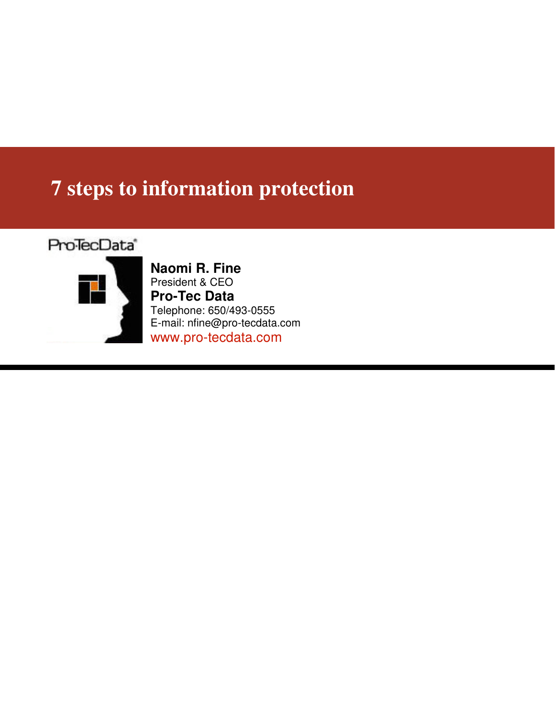# **7 steps to information protection**

### Pro<sup>T</sup>ecData<sup>®</sup>



**Naomi R. Fine**  President & CEO **Pro-Tec Data**  Telephone: 650/493-0555 E-mail: nfine@pro-tecdata.com www.pro-tecdata.com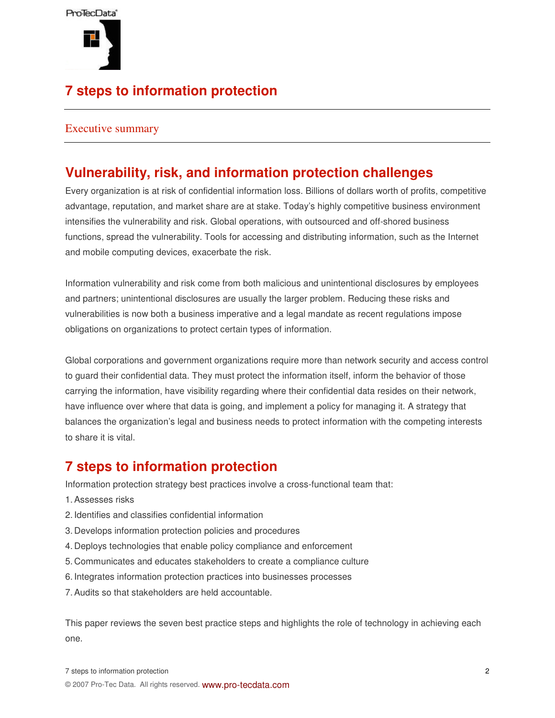

# **7 steps to information protection**

#### Executive summary

### **Vulnerability, risk, and information protection challenges**

Every organization is at risk of confidential information loss. Billions of dollars worth of profits, competitive advantage, reputation, and market share are at stake. Today's highly competitive business environment intensifies the vulnerability and risk. Global operations, with outsourced and off-shored business functions, spread the vulnerability. Tools for accessing and distributing information, such as the Internet and mobile computing devices, exacerbate the risk.

Information vulnerability and risk come from both malicious and unintentional disclosures by employees and partners; unintentional disclosures are usually the larger problem. Reducing these risks and vulnerabilities is now both a business imperative and a legal mandate as recent regulations impose obligations on organizations to protect certain types of information.

Global corporations and government organizations require more than network security and access control to guard their confidential data. They must protect the information itself, inform the behavior of those carrying the information, have visibility regarding where their confidential data resides on their network, have influence over where that data is going, and implement a policy for managing it. A strategy that balances the organization's legal and business needs to protect information with the competing interests to share it is vital.

### **7 steps to information protection**

Information protection strategy best practices involve a cross-functional team that:

- 1. Assesses risks
- 2. Identifies and classifies confidential information
- 3. Develops information protection policies and procedures
- 4. Deploys technologies that enable policy compliance and enforcement
- 5. Communicates and educates stakeholders to create a compliance culture
- 6. Integrates information protection practices into businesses processes
- 7. Audits so that stakeholders are held accountable.

This paper reviews the seven best practice steps and highlights the role of technology in achieving each one.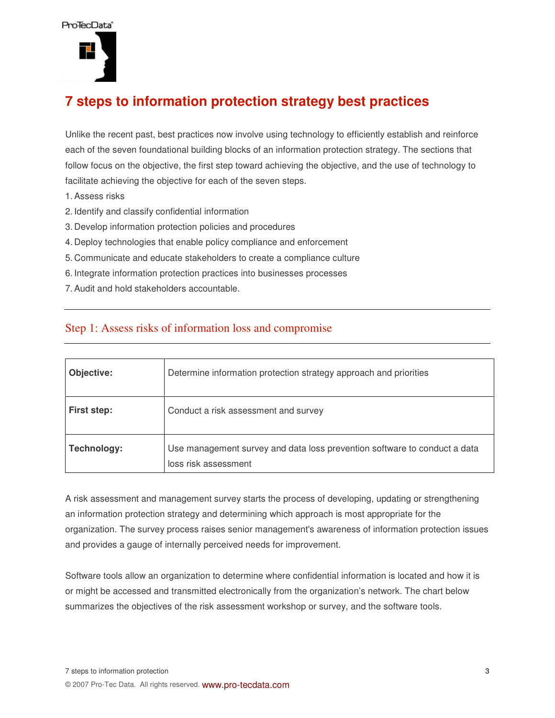

## **7 steps to information protection strategy best practices**

Unlike the recent past, best practices now involve using technology to efficiently establish and reinforce each of the seven foundational building blocks of an information protection strategy. The sections that follow focus on the objective, the first step toward achieving the objective, and the use of technology to facilitate achieving the objective for each of the seven steps.

- 1. Assess risks
- 2. Identify and classify confidential information
- 3. Develop information protection policies and procedures
- 4. Deploy technologies that enable policy compliance and enforcement
- 5. Communicate and educate stakeholders to create a compliance culture
- 6. Integrate information protection practices into businesses processes
- 7. Audit and hold stakeholders accountable.

#### Step 1: Assess risks of information loss and compromise

| Objective:  | Determine information protection strategy approach and priorities                                 |
|-------------|---------------------------------------------------------------------------------------------------|
| First step: | Conduct a risk assessment and survey                                                              |
| Technology: | Use management survey and data loss prevention software to conduct a data<br>loss risk assessment |

A risk assessment and management survey starts the process of developing, updating or strengthening an information protection strategy and determining which approach is most appropriate for the organization. The survey process raises senior management's awareness of information protection issues and provides a gauge of internally perceived needs for improvement.

Software tools allow an organization to determine where confidential information is located and how it is or might be accessed and transmitted electronically from the organization's network. The chart below summarizes the objectives of the risk assessment workshop or survey, and the software tools.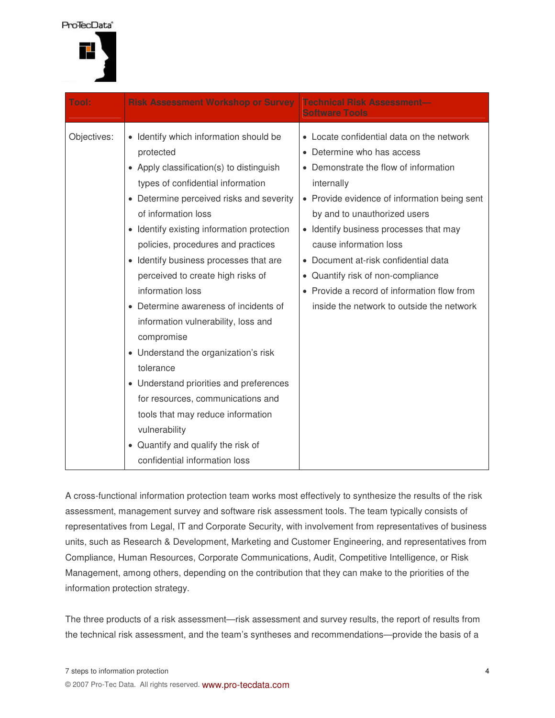Pro<sup>T</sup>ecData<sup>®</sup>



| <b>Tool:</b> | <b>Risk Assessment Workshop or Survey</b>                                                                                                                                                                                                                                                                                                                                                                                                                                                                                                                                                                                                                                                                                                | <b>Technical Risk Assessment-</b><br><b>Software Tools</b>                                                                                                                                                                                                                                                                                                                                                                                                  |
|--------------|------------------------------------------------------------------------------------------------------------------------------------------------------------------------------------------------------------------------------------------------------------------------------------------------------------------------------------------------------------------------------------------------------------------------------------------------------------------------------------------------------------------------------------------------------------------------------------------------------------------------------------------------------------------------------------------------------------------------------------------|-------------------------------------------------------------------------------------------------------------------------------------------------------------------------------------------------------------------------------------------------------------------------------------------------------------------------------------------------------------------------------------------------------------------------------------------------------------|
| Objectives:  | • Identify which information should be<br>protected<br>• Apply classification(s) to distinguish<br>types of confidential information<br>• Determine perceived risks and severity<br>of information loss<br>• Identify existing information protection<br>policies, procedures and practices<br>Identify business processes that are<br>$\bullet$<br>perceived to create high risks of<br>information loss<br>• Determine awareness of incidents of<br>information vulnerability, loss and<br>compromise<br>• Understand the organization's risk<br>tolerance<br>• Understand priorities and preferences<br>for resources, communications and<br>tools that may reduce information<br>vulnerability<br>• Quantify and qualify the risk of | • Locate confidential data on the network<br>• Determine who has access<br>• Demonstrate the flow of information<br>internally<br>• Provide evidence of information being sent<br>by and to unauthorized users<br>• Identify business processes that may<br>cause information loss<br>• Document at-risk confidential data<br>• Quantify risk of non-compliance<br>• Provide a record of information flow from<br>inside the network to outside the network |
|              | confidential information loss                                                                                                                                                                                                                                                                                                                                                                                                                                                                                                                                                                                                                                                                                                            |                                                                                                                                                                                                                                                                                                                                                                                                                                                             |

A cross-functional information protection team works most effectively to synthesize the results of the risk assessment, management survey and software risk assessment tools. The team typically consists of representatives from Legal, IT and Corporate Security, with involvement from representatives of business units, such as Research & Development, Marketing and Customer Engineering, and representatives from Compliance, Human Resources, Corporate Communications, Audit, Competitive Intelligence, or Risk Management, among others, depending on the contribution that they can make to the priorities of the information protection strategy.

The three products of a risk assessment—risk assessment and survey results, the report of results from the technical risk assessment, and the team's syntheses and recommendations—provide the basis of a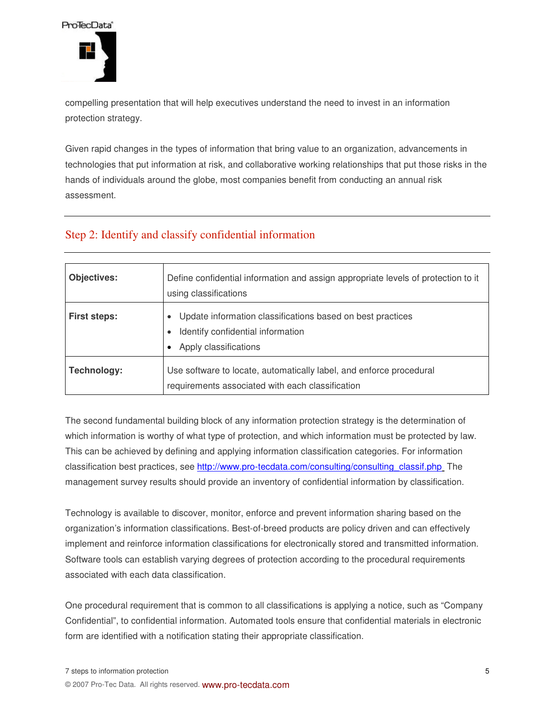

compelling presentation that will help executives understand the need to invest in an information protection strategy.

Given rapid changes in the types of information that bring value to an organization, advancements in technologies that put information at risk, and collaborative working relationships that put those risks in the hands of individuals around the globe, most companies benefit from conducting an annual risk assessment.

#### Step 2: Identify and classify confidential information

| <b>Objectives:</b>  | Define confidential information and assign appropriate levels of protection to it<br>using classifications               |
|---------------------|--------------------------------------------------------------------------------------------------------------------------|
| <b>First steps:</b> | Update information classifications based on best practices<br>Identify confidential information<br>Apply classifications |
| Technology:         | Use software to locate, automatically label, and enforce procedural<br>requirements associated with each classification  |

The second fundamental building block of any information protection strategy is the determination of which information is worthy of what type of protection, and which information must be protected by law. This can be achieved by defining and applying information classification categories. For information classification best practices, see http://www.pro-tecdata.com/consulting/consulting\_classif.php\_The management survey results should provide an inventory of confidential information by classification.

Technology is available to discover, monitor, enforce and prevent information sharing based on the organization's information classifications. Best-of-breed products are policy driven and can effectively implement and reinforce information classifications for electronically stored and transmitted information. Software tools can establish varying degrees of protection according to the procedural requirements associated with each data classification.

One procedural requirement that is common to all classifications is applying a notice, such as "Company Confidential", to confidential information. Automated tools ensure that confidential materials in electronic form are identified with a notification stating their appropriate classification.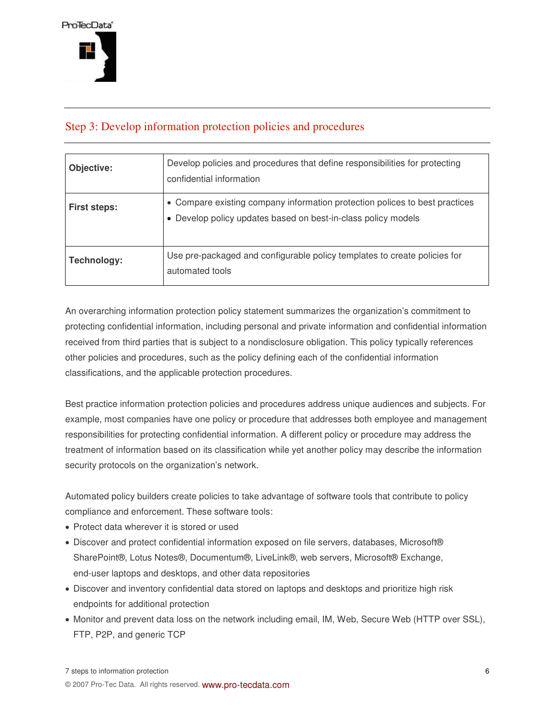#### Step 3: Develop information protection policies and procedures

| Objective:          | Develop policies and procedures that define responsibilities for protecting<br>confidential information                                    |
|---------------------|--------------------------------------------------------------------------------------------------------------------------------------------|
| <b>First steps:</b> | • Compare existing company information protection polices to best practices<br>Develop policy updates based on best-in-class policy models |
| Technology:         | Use pre-packaged and configurable policy templates to create policies for<br>automated tools                                               |

An overarching information protection policy statement summarizes the organization's commitment to protecting confidential information, including personal and private information and confidential information received from third parties that is subject to a nondisclosure obligation. This policy typically references other policies and procedures, such as the policy defining each of the confidential information classifications, and the applicable protection procedures.

Best practice information protection policies and procedures address unique audiences and subjects. For example, most companies have one policy or procedure that addresses both employee and management responsibilities for protecting confidential information. A different policy or procedure may address the treatment of information based on its classification while yet another policy may describe the information security protocols on the organization's network.

Automated policy builders create policies to take advantage of software tools that contribute to policy compliance and enforcement. These software tools:

- Protect data wherever it is stored or used
- Discover and protect confidential information exposed on file servers, databases, Microsoft® SharePoint®, Lotus Notes®, Documentum®, LiveLink®, web servers, Microsoft® Exchange, end-user laptops and desktops, and other data repositories
- Discover and inventory confidential data stored on laptops and desktops and prioritize high risk endpoints for additional protection
- Monitor and prevent data loss on the network including email, IM, Web, Secure Web (HTTP over SSL), FTP, P2P, and generic TCP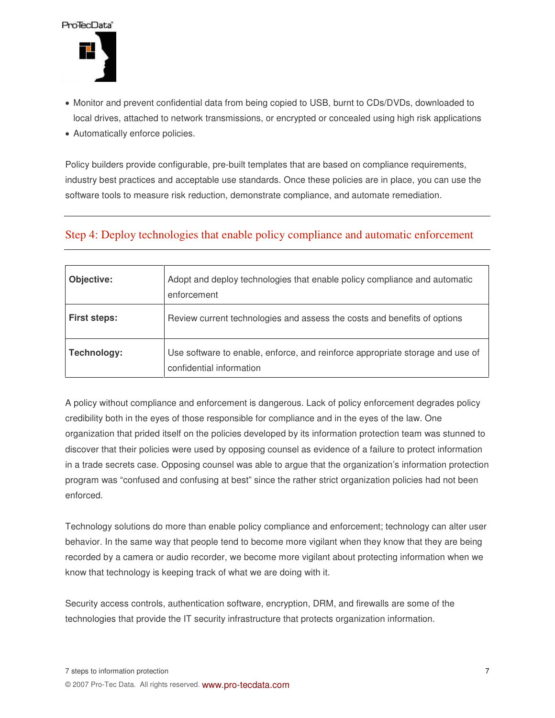

- Monitor and prevent confidential data from being copied to USB, burnt to CDs/DVDs, downloaded to local drives, attached to network transmissions, or encrypted or concealed using high risk applications
- Automatically enforce policies.

Policy builders provide configurable, pre-built templates that are based on compliance requirements, industry best practices and acceptable use standards. Once these policies are in place, you can use the software tools to measure risk reduction, demonstrate compliance, and automate remediation.

#### Step 4: Deploy technologies that enable policy compliance and automatic enforcement

| Objective:          | Adopt and deploy technologies that enable policy compliance and automatic<br>enforcement                  |
|---------------------|-----------------------------------------------------------------------------------------------------------|
| <b>First steps:</b> | Review current technologies and assess the costs and benefits of options                                  |
| Technology:         | Use software to enable, enforce, and reinforce appropriate storage and use of<br>confidential information |

A policy without compliance and enforcement is dangerous. Lack of policy enforcement degrades policy credibility both in the eyes of those responsible for compliance and in the eyes of the law. One organization that prided itself on the policies developed by its information protection team was stunned to discover that their policies were used by opposing counsel as evidence of a failure to protect information in a trade secrets case. Opposing counsel was able to argue that the organization's information protection program was "confused and confusing at best" since the rather strict organization policies had not been enforced.

Technology solutions do more than enable policy compliance and enforcement; technology can alter user behavior. In the same way that people tend to become more vigilant when they know that they are being recorded by a camera or audio recorder, we become more vigilant about protecting information when we know that technology is keeping track of what we are doing with it.

Security access controls, authentication software, encryption, DRM, and firewalls are some of the technologies that provide the IT security infrastructure that protects organization information.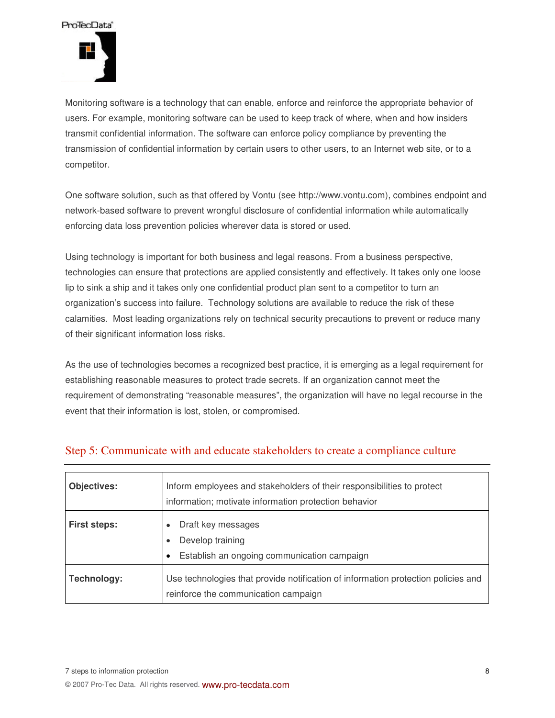

Monitoring software is a technology that can enable, enforce and reinforce the appropriate behavior of users. For example, monitoring software can be used to keep track of where, when and how insiders transmit confidential information. The software can enforce policy compliance by preventing the transmission of confidential information by certain users to other users, to an Internet web site, or to a competitor.

One software solution, such as that offered by Vontu (see http://www.vontu.com), combines endpoint and network-based software to prevent wrongful disclosure of confidential information while automatically enforcing data loss prevention policies wherever data is stored or used.

Using technology is important for both business and legal reasons. From a business perspective, technologies can ensure that protections are applied consistently and effectively. It takes only one loose lip to sink a ship and it takes only one confidential product plan sent to a competitor to turn an organization's success into failure. Technology solutions are available to reduce the risk of these calamities. Most leading organizations rely on technical security precautions to prevent or reduce many of their significant information loss risks.

As the use of technologies becomes a recognized best practice, it is emerging as a legal requirement for establishing reasonable measures to protect trade secrets. If an organization cannot meet the requirement of demonstrating "reasonable measures", the organization will have no legal recourse in the event that their information is lost, stolen, or compromised.

| <b>Objectives:</b>  | Inform employees and stakeholders of their responsibilities to protect<br>information; motivate information protection behavior |
|---------------------|---------------------------------------------------------------------------------------------------------------------------------|
| <b>First steps:</b> | Draft key messages<br>Develop training<br>Establish an ongoing communication campaign<br>$\bullet$                              |
| Technology:         | Use technologies that provide notification of information protection policies and<br>reinforce the communication campaign       |

#### Step 5: Communicate with and educate stakeholders to create a compliance culture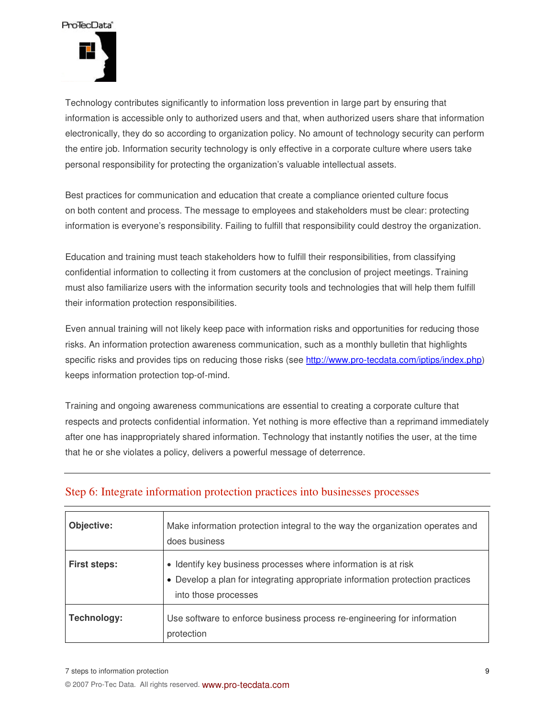

Technology contributes significantly to information loss prevention in large part by ensuring that information is accessible only to authorized users and that, when authorized users share that information electronically, they do so according to organization policy. No amount of technology security can perform the entire job. Information security technology is only effective in a corporate culture where users take personal responsibility for protecting the organization's valuable intellectual assets.

Best practices for communication and education that create a compliance oriented culture focus on both content and process. The message to employees and stakeholders must be clear: protecting information is everyone's responsibility. Failing to fulfill that responsibility could destroy the organization.

Education and training must teach stakeholders how to fulfill their responsibilities, from classifying confidential information to collecting it from customers at the conclusion of project meetings. Training must also familiarize users with the information security tools and technologies that will help them fulfill their information protection responsibilities.

Even annual training will not likely keep pace with information risks and opportunities for reducing those risks. An information protection awareness communication, such as a monthly bulletin that highlights specific risks and provides tips on reducing those risks (see http://www.pro-tecdata.com/iptips/index.php) keeps information protection top-of-mind.

Training and ongoing awareness communications are essential to creating a corporate culture that respects and protects confidential information. Yet nothing is more effective than a reprimand immediately after one has inappropriately shared information. Technology that instantly notifies the user, at the time that he or she violates a policy, delivers a powerful message of deterrence.

| Objective:          | Make information protection integral to the way the organization operates and<br>does business                                                                          |
|---------------------|-------------------------------------------------------------------------------------------------------------------------------------------------------------------------|
| <b>First steps:</b> | • Identify key business processes where information is at risk<br>• Develop a plan for integrating appropriate information protection practices<br>into those processes |
| Technology:         | Use software to enforce business process re-engineering for information<br>protection                                                                                   |

#### Step 6: Integrate information protection practices into businesses processes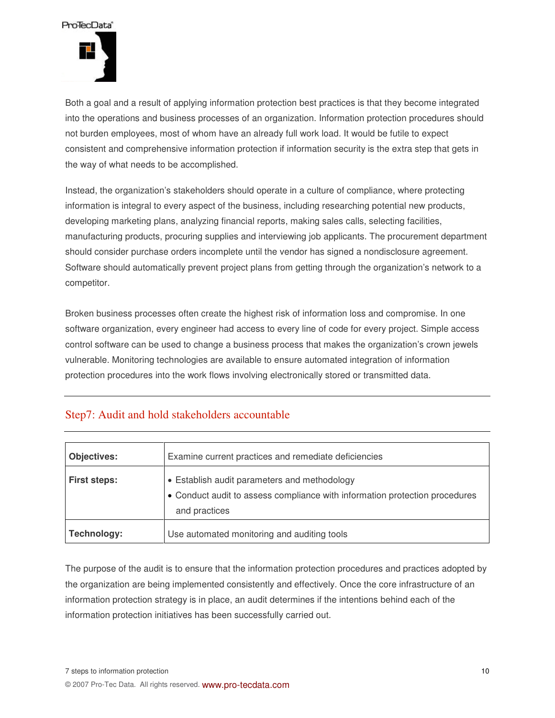

Both a goal and a result of applying information protection best practices is that they become integrated into the operations and business processes of an organization. Information protection procedures should not burden employees, most of whom have an already full work load. It would be futile to expect consistent and comprehensive information protection if information security is the extra step that gets in the way of what needs to be accomplished.

Instead, the organization's stakeholders should operate in a culture of compliance, where protecting information is integral to every aspect of the business, including researching potential new products, developing marketing plans, analyzing financial reports, making sales calls, selecting facilities, manufacturing products, procuring supplies and interviewing job applicants. The procurement department should consider purchase orders incomplete until the vendor has signed a nondisclosure agreement. Software should automatically prevent project plans from getting through the organization's network to a competitor.

Broken business processes often create the highest risk of information loss and compromise. In one software organization, every engineer had access to every line of code for every project. Simple access control software can be used to change a business process that makes the organization's crown jewels vulnerable. Monitoring technologies are available to ensure automated integration of information protection procedures into the work flows involving electronically stored or transmitted data.

#### Step7: Audit and hold stakeholders accountable

| <b>Objectives:</b>  | Examine current practices and remediate deficiencies                                                                                         |
|---------------------|----------------------------------------------------------------------------------------------------------------------------------------------|
| <b>First steps:</b> | • Establish audit parameters and methodology<br>• Conduct audit to assess compliance with information protection procedures<br>and practices |
| Technology:         | Use automated monitoring and auditing tools                                                                                                  |

The purpose of the audit is to ensure that the information protection procedures and practices adopted by the organization are being implemented consistently and effectively. Once the core infrastructure of an information protection strategy is in place, an audit determines if the intentions behind each of the information protection initiatives has been successfully carried out.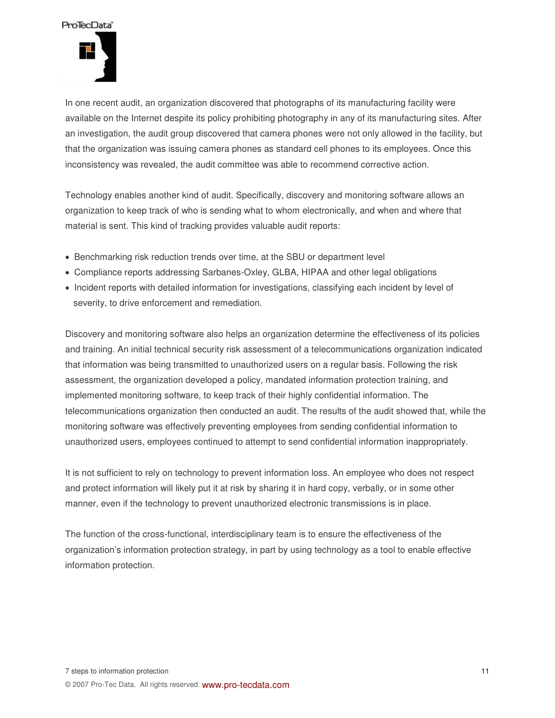

In one recent audit, an organization discovered that photographs of its manufacturing facility were available on the Internet despite its policy prohibiting photography in any of its manufacturing sites. After an investigation, the audit group discovered that camera phones were not only allowed in the facility, but that the organization was issuing camera phones as standard cell phones to its employees. Once this inconsistency was revealed, the audit committee was able to recommend corrective action.

Technology enables another kind of audit. Specifically, discovery and monitoring software allows an organization to keep track of who is sending what to whom electronically, and when and where that material is sent. This kind of tracking provides valuable audit reports:

- Benchmarking risk reduction trends over time, at the SBU or department level
- Compliance reports addressing Sarbanes-Oxley, GLBA, HIPAA and other legal obligations
- Incident reports with detailed information for investigations, classifying each incident by level of severity, to drive enforcement and remediation.

Discovery and monitoring software also helps an organization determine the effectiveness of its policies and training. An initial technical security risk assessment of a telecommunications organization indicated that information was being transmitted to unauthorized users on a regular basis. Following the risk assessment, the organization developed a policy, mandated information protection training, and implemented monitoring software, to keep track of their highly confidential information. The telecommunications organization then conducted an audit. The results of the audit showed that, while the monitoring software was effectively preventing employees from sending confidential information to unauthorized users, employees continued to attempt to send confidential information inappropriately.

It is not sufficient to rely on technology to prevent information loss. An employee who does not respect and protect information will likely put it at risk by sharing it in hard copy, verbally, or in some other manner, even if the technology to prevent unauthorized electronic transmissions is in place.

The function of the cross-functional, interdisciplinary team is to ensure the effectiveness of the organization's information protection strategy, in part by using technology as a tool to enable effective information protection.